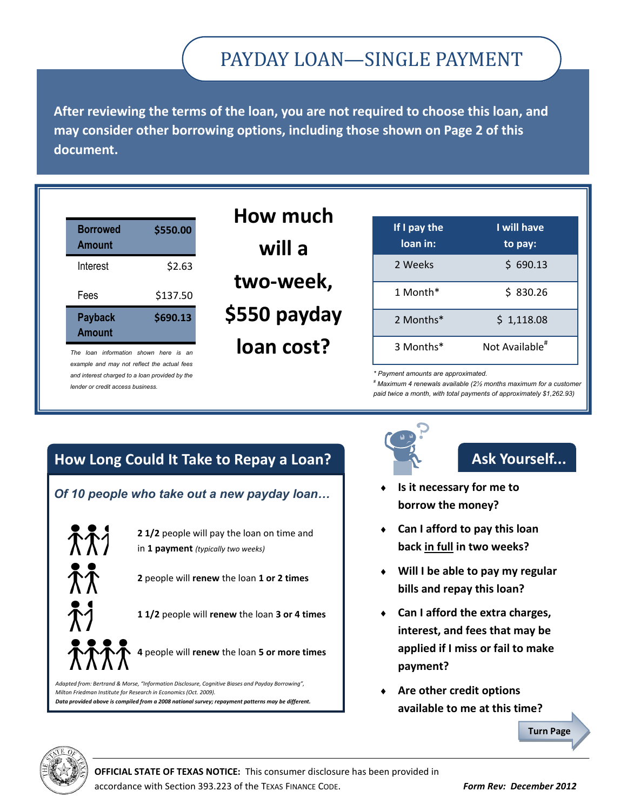# PAYDAY LOAN—SINGLE PAYMENT

**After reviewing the terms of the loan, you are not required to choose this loan, and may consider other borrowing options, including those shown on Page 2 of this document.**

| <b>Borrowed</b><br><b>Amount</b> | \$550.00 |
|----------------------------------|----------|
| Interest                         | \$2.63   |
| Fees                             | \$137.50 |
| <b>Payback</b><br><b>Amount</b>  | \$690.13 |

*The loan information shown here is an example and may not reflect the actual fees and interest charged to a loan provided by the lender or credit access business.*

| How much     |  |  |
|--------------|--|--|
| will a       |  |  |
| two-week,    |  |  |
| \$550 payday |  |  |
| loan cost?   |  |  |

| If I pay the<br>loan in: | I will have<br>to pay:     |
|--------------------------|----------------------------|
| 2 Weeks                  | \$690.13                   |
| 1 Month*                 | \$830.26                   |
| 2 Months*                | \$1,118.08                 |
| 3 Months*                | Not Available <sup>#</sup> |

*\* Payment amounts are approximated.*

*# Maximum 4 renewals available (2½ months maximum for a customer paid twice a month, with total payments of approximately \$1,262.93)*

## **How Long Could It Take to Repay a Loan?**

#### *Of 10 people who take out a new payday loan…*



*Adapted from: Bertrand & Morse, "Information Disclosure, Cognitive Biases and Payday Borrowing", Milton Friedman Institute for Research in Economics (Oct. 2009). Data provided above is compiled from a 2008 national survey; repayment patterns may be different.*



# **Ask Yourself...**

- **Is it necessary for me to borrow the money?**
- **Can I afford to pay this loan back in full in two weeks?**
- **Will I be able to pay my regular bills and repay this loan?**
- **Can I afford the extra charges, interest, and fees that may be applied if I miss or fail to make payment?**
- **Are other credit options available to me at this time?**

**Turn Page**



**OFFICIAL STATE OF TEXAS NOTICE:** This consumer disclosure has been provided in accordance with Section 393.223 of the TEXAS FINANCE CODE. *Form Rev: December 2012*